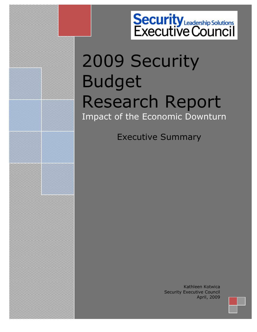# **Security**<br> **Executive Council**

# 2009 Security Budget Research Report Impact of the Economic Downturn

Executive Summary

Copyright 2009 the Security Executive Council. All rights reserved.

Kathleen Kotwica Security Executive Council April, 2009

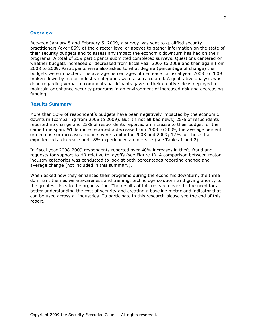## **Overview**

Between January 5 and February 5, 2009, a survey was sent to qualified security practitioners (over 85% at the director level or above) to gather information on the state of their security budgets and to assess any impact the economic downturn has had on their programs. A total of 259 participants submitted completed surveys. Questions centered on whether budgets increased or decreased from fiscal year 2007 to 2008 and then again from 2008 to 2009. Participants were also asked to what degree (percentage of change) their budgets were impacted. The average percentages of decrease for fiscal year 2008 to 2009 broken down by major industry categories were also calculated. A qualitative analysis was done regarding verbatim comments participants gave to their creative ideas deployed to maintain or enhance security programs in an environment of increased risk and decreasing funding.

### **Results Summary**

More than 50% of respondent's budgets have been negatively impacted by the economic downturn (comparing from 2008 to 2009). But it's not all bad news; 25% of respondents reported no change and 23% of respondents reported an increase to their budget for the same time span. While more reported a decrease from 2008 to 2009, the average percent or decrease or increase amounts were similar for 2008 and 2009; 17% for those that experienced a decrease and 18% experienced an increase (see Tables 1 and 2).

In fiscal year 2008-2009 respondents reported over 40% increases in theft, fraud and requests for support to HR relative to layoffs (see Figure 1). A comparison between major industry categories was conducted to look at both percentages reporting change and average change (not included in this summary).

When asked how they enhanced their programs during the economic downturn, the three dominant themes were awareness and training, technology solutions and giving priority to the greatest risks to the organization. The results of this research leads to the need for a better understanding the cost of security and creating a baseline metric and indicator that can be used across all industries. To participate in this research please see the end of this report.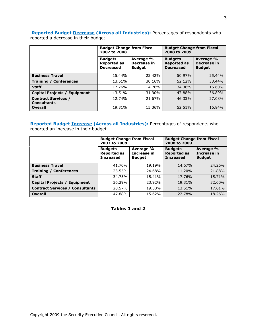# **Reported Budget Decrease (Across all Industries):** Percentages of respondents who reported a decrease in their budget

|                                                  | <b>Budget Change from Fiscal</b><br>2007 to 2008         |                                           | <b>Budget Change from Fiscal</b><br>2008 to 2009         |                                           |
|--------------------------------------------------|----------------------------------------------------------|-------------------------------------------|----------------------------------------------------------|-------------------------------------------|
|                                                  | <b>Budgets</b><br><b>Reported as</b><br><b>Decreased</b> | Average %<br>Decrease in<br><b>Budget</b> | <b>Budgets</b><br><b>Reported as</b><br><b>Decreased</b> | Average %<br>Decrease in<br><b>Budget</b> |
| <b>Business Travel</b>                           | 15.44%                                                   | 23.42%                                    | 50.97%                                                   | 25.44%                                    |
| <b>Training / Conferences</b>                    | 13.51%                                                   | 30.16%                                    | 52.12%                                                   | 33.44%                                    |
| <b>Staff</b>                                     | 17.76%                                                   | 14.76%                                    | 34.36%                                                   | 16.60%                                    |
| <b>Capital Projects / Equipment</b>              | 13.51%                                                   | 31.90%                                    | 47.88%                                                   | 36.89%                                    |
| <b>Contract Services /</b><br><b>Consultants</b> | 12.74%                                                   | 21.67%                                    | 46.33%                                                   | 27.08%                                    |
| <b>Overall</b>                                   | 19.31%                                                   | 15.36%                                    | 52.51%                                                   | 16.84%                                    |

**Reported Budget Increase (Across all Industries):** Percentages of respondents who reported an increase in their budget

|                                        | <b>Budget Change from Fiscal</b><br>2007 to 2008         |                                           | <b>Budget Change from Fiscal</b><br>2008 to 2009         |                                           |
|----------------------------------------|----------------------------------------------------------|-------------------------------------------|----------------------------------------------------------|-------------------------------------------|
|                                        | <b>Budgets</b><br><b>Reported as</b><br><b>Increased</b> | Average %<br>Increase in<br><b>Budget</b> | <b>Budgets</b><br><b>Reported as</b><br><b>Increased</b> | Average %<br>Increase in<br><b>Budget</b> |
| <b>Business Travel</b>                 | 41.70%                                                   | 19.19%                                    | 14.67%                                                   | 24.26%                                    |
| <b>Training / Conferences</b>          | 23.55%                                                   | 24.68%                                    | 11.20%                                                   | 21.88%                                    |
| <b>Staff</b>                           | 34.75%                                                   | 15.41%                                    | 17.76%                                                   | 15.71%                                    |
| <b>Capital Projects / Equipment</b>    | 36.29%                                                   | 23.92%                                    | 19.31%                                                   | 32.60%                                    |
| <b>Contract Services / Consultants</b> | 28.57%                                                   | 19.38%                                    | 13.51%                                                   | 17.61%                                    |
| <b>Overall</b>                         | 47.88%                                                   | 15.62%                                    | 22.78%                                                   | 18.26%                                    |

**Tables 1 and 2**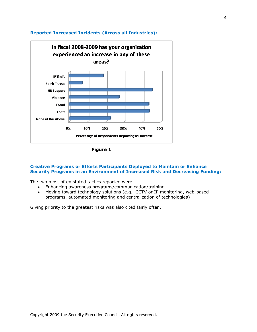

# **Reported Increased Incidents (Across all Industries):**

**Figure 1**

# **Creative Programs or Efforts Participants Deployed to Maintain or Enhance Security Programs in an Environment of Increased Risk and Decreasing Funding:**

The two most often stated tactics reported were:

- Enhancing awareness programs/communication/training
- Moving toward technology solutions (e.g., CCTV or IP monitoring, web-based programs, automated monitoring and centralization of technologies)

Giving priority to the greatest risks was also cited fairly often.